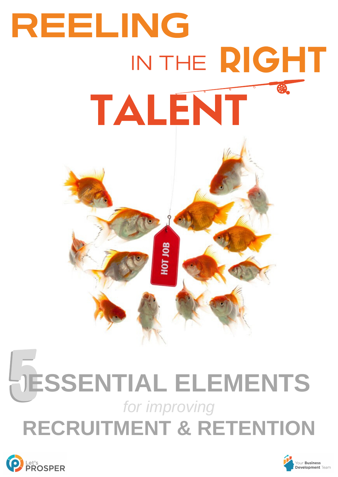

# **ESSENTIAL ELEMENTS** *for improving* **RECRUITMENT & RETENTION**



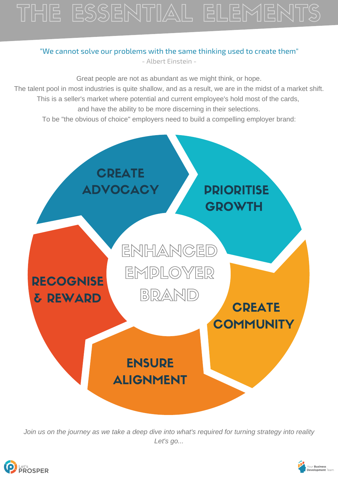## THE ESSENTIAL ELEMENTS

#### "We cannot solve our problems with the same thinking used to create them" - Albert Einstein -



*Join us on the journey as we take a deep dive into what's required for turning strategy into reality Let's go...*



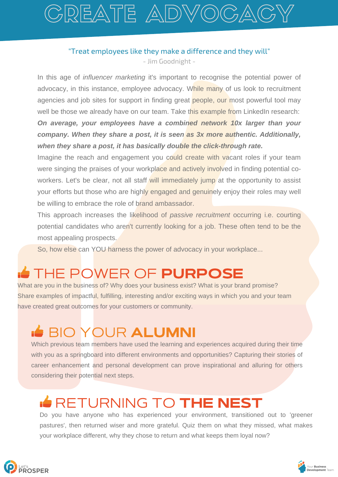## GREATE ADVOGA

#### "Treat employees like they make a difference and they will" - Jim Goodnight -

In this age of *influencer marketing* it's important to recognise the potential power of advocacy, in this instance, employee advocacy. While many of us look to recruitment agencies and job sites for support in finding great people, our most powerful tool may well be those we already have on our team. Take this example from LinkedIn research: *On average, your employees have a combined network 10x larger than your company. When they share a post, it is seen as 3x more authentic. Additionally, when they share a post, it has basically double the click-through rate.*

Imagine the reach and engagement you could create with vacant roles if your team were singing the praises of your workplace and actively involved in finding potential coworkers. Let's be clear, not all staff will immediately jump at the opportunity to assist your efforts but those who are highly engaged and genuinely enjoy their roles may well be willing to embrace the role of brand ambassador.

This approach increases the likelihood of *passive recruitment* occurring i.e. courting potential candidates who aren't currently looking for a job. These often tend to be the most appealing prospects.

So, how else can YOU harness the power of advocacy in your workplace...

## THE POWER OF PURPOSE

What are you in the business of? Why does your business exist? What is your brand promise? Share examples of impactful, fulfilling, interesting and/or exciting ways in which you and your team have created great outcomes for your customers or community.

## BIO YOUR ALUMNI

Which previous team members have used the learning and experiences acquired during their time with you as a springboard into different environments and opportunities? Capturing their stories of career enhancement and personal development can prove inspirational and alluring for others considering their potential next steps.

### **RETURNING TO THE NEST**

Do you have anyone who has experienced your environment, transitioned out to 'greener pastures', then returned wiser and more grateful. Quiz them on what they missed, what makes your workplace different, why they chose to return and what keeps them loyal now?



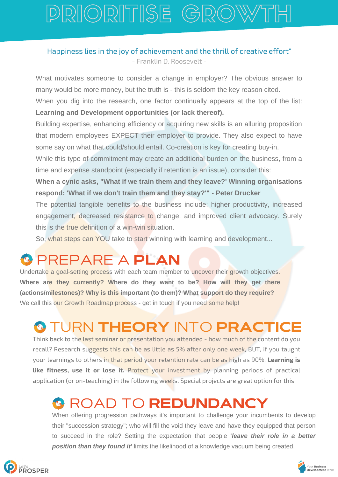## PRIORITISE GROW

### Happiness lies in the joy of achievement and the thrill of creative effort" - Franklin D. Roosevelt -

What motivates someone to consider a change in employer? The obvious answer to many would be more money, but the truth is - this is seldom the key reason cited.

When you dig into the research, one factor continually appears at the top of the list: **Learning and Development opportunities (or lack thereof).**

Building expertise, enhancing efficiency or acquiring new skills is an alluring proposition that modern employees EXPECT their employer to provide. They also expect to have some say on what that could/should entail. Co-creation is key for creating buy-in.

While this type of commitment may create an additional burden on the business, from a time and expense standpoint (especially if retention is an issue), consider this:

**When a cynic asks, "What if we train them and they leave?' Winning organisations respond: 'What if we don't train them and they stay?'" - Peter Drucker**

The potential tangible benefits to the business include: higher productivity, increased engagement, decreased resistance to change, and improved client advocacy. Surely this is the true definition of a win-win situation.

So, what steps can YOU take to start winning with learning and development...

## PREPARE A PLAN

Undertake a goal-setting process with each team member to uncover their growth objectives. **Where are they currently? Where do they want to be? How will they get there (actions/milestones)? Why is this important (to them)? What support do they require?** We call this our Growth Roadmap process - get in touch if you need some help!

### **© TURN THEORY INTO PRACTICE**

Think back to the last seminar or presentation you attended - how much of the content do you recall? Research suggests this can be as little as 5% after only one week, BUT, if you taught your learnings to others in that period your retention rate can be as high as 90%. **Learning is like fitness, use it or lose it.** Protect your investment by planning periods of practical application (or on-teaching) in the following weeks. Special projects are great option for this!

### **& ROAD TO REDUNDANCY**

When offering progression pathways it's important to challenge your incumbents to develop their "succession strategy"; who will fill the void they leave and have they equipped that person to succeed in the role? Setting the expectation that people **'***leave their role in a better position than they found it'* limits the likelihood of a knowledge vacuum being created.

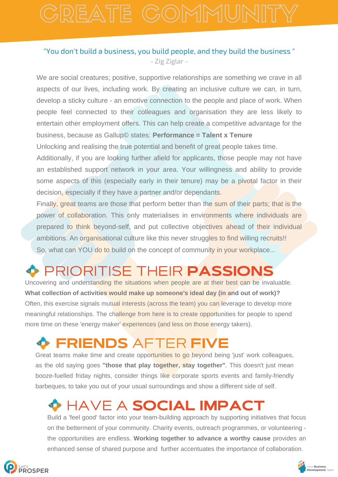#### "You don't build a business, you build people, and they build the business " - Zig Ziglar -

We are social creatures; positive, supportive relationships are something we crave in all aspects of our lives, including work. By creating an inclusive culture we can, in turn, develop a sticky culture - an emotive connection to the people and place of work. When people feel connected to their colleagues and organisation they are less likely to entertain other employment offers. This can help create a competitive advantage for the business, because as Gallup© states: **Performance = Talent x Tenure** 

Unlocking and realising the true potential and benefit of great people takes time.

Additionally, if you are looking further afield for applicants, those people may not have an established support network in your area. Your willingness and ability to provide some aspects of this (especially early in their tenure) may be a pivotal factor in their decision, especially if they have a partner and/or dependants.

Finally, great teams are those that perform better than the sum of their parts; that is the power of collaboration. This only materialises in environments where individuals are prepared to think beyond-self, and put collective objectives ahead of their individual ambitions. An organisational culture like this never struggles to find willing recruits!! So, what can YOU do to build on the concept of community in your workplace...

## PRIORITISE THEIR PASSIONS

Uncovering and understanding the situations when people are at their best can be invaluable. **What collection of activities would make up someone's ideal day (in and out of work)?** Often, this exercise signals mutual interests (across the team) you can leverage to develop more meaningful relationships. The challenge from here is to create opportunities for people to spend more time on these 'energy maker' experiences (and less on those energy takers).

## FRIENDS AFTER FIVE

Great teams make time and create opportunities to go beyond being 'just' work colleagues, as the old saying goes **"those that play together, stay together"**. This doesn't just mean booze-fuelled friday nights, consider things like corporate sports events and family-friendly barbeques, to take you out of your usual surroundings and show a different side of self.

## HAVE A SOCIAL IMPACT

Build a 'feel good' factor into your team-building approach by supporting initiatives that focus on the betterment of your community. Charity events, outreach programmes, or volunteering the opportunities are endless. **Working together to advance a worthy cause** provides an enhanced sense of shared purpose and further accentuates the importance of collaboration.



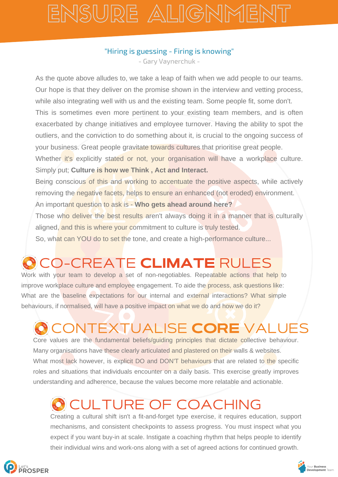## ENSURE ALIGNMENT

### "Hiring is guessing - Firing is knowing"

- Gary Vaynerchuk -

As the quote above alludes to, we take a leap of faith when we add people to our teams. Our hope is that they deliver on the promise shown in the interview and vetting process, while also integrating well with us and the existing team. Some people fit, some don't. This is sometimes even more pertinent to your existing team members, and is often exacerbated by change initiatives and employee turnover. Having the ability to spot the outliers, and the conviction to do something about it, is crucial to the ongoing success of your business. Great people gravitate towards cultures that prioritise great people.<br>Whether it's explicitly stated or not, your organisation will have a workplace culture.

Simply put; **Culture is how we Think , Act and Interact.**

Being conscious of this and working to accentuate the positive aspects, while actively removing the negative facets, helps to ensure an enhanced (not eroded) environment.

An important question to ask is - **Who gets ahead around here?**

Those who deliver the best results aren't always doing it in a manner that is culturally aligned, and this is where your commitment to culture is truly tested.

So, what can YOU do to set the tone, and create a high-performance culture...

## CO-CREATE CLIMATE RULES

Work with your team to develop a set of non-negotiables. Repeatable actions that help to improve workplace culture and employee engagement. To aide the process, ask questions like: What are the baseline expectations for our internal and external interactions? What simple behaviours, if normalised, will have a positive impact on what we do and how we do it?

## )NTEXTUALISE CORE VALUES

Core values are the fundamental beliefs/guiding principles that dictate collective behaviour. Many organisations have these clearly articulated and plastered on their walls & websites. What most lack however, is explicit DO and DON'T behaviours that are related to the specific roles and situations that individuals encounter on a daily basis. This exercise greatly improves understanding and adherence, because the values become more relatable and actionable.

## CULTURE OF COACHING

Creating a cultural shift isn't a fit-and-forget type exercise, it requires education, support mechanisms, and consistent checkpoints to assess progress. You must inspect what you expect if you want buy-in at scale. Instigate a coaching rhythm that helps people to identify their individual wins and work-ons along with a set of agreed actions for continued growth.

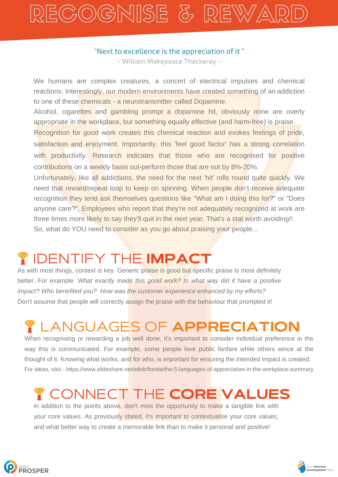## RECOGNISE & REWA

#### "Next to excellence is the appreciation of it "

- William Makepeace Thackeray -

We humans are complex creatures, a concert of electrical impulses and chemical reactions. Interestingly, our modern environments have created something of an addiction to one of these chemicals - a neurotransmitter called Dopamine.

Alcohol, cigarettes and gambling prompt a dopamine hit, obviously none are overly appropriate in the workplace, but something equally effective (and harm-free) is praise.

Recognition for good work creates this chemical reaction and evokes feelings of pride, satisfaction and enjoyment. Importantly, this 'feel good factor' has a strong correlation with productivity. Research indicates that those who are recognised for positive contributions on a weekly basis out-perform those that are not by 8%-20%.

Unfortunately, like all addictions, the need for the next 'hit' rolls round quite quickly. We need that reward/repeat loop to keep on spinning. When people don't receive adequate recognition they tend ask themselves questions like "What am I doing this for?" or "Does anyone care?". Employees who report that they're not adequately recognized at work are three times more likely to say they'll quit in the next year. That's a stat worth avoiding!! So, what do YOU need to consider as you go about praising your people...

### IDENTIFY THE IMPACT

As with most things, context is key. Generic praise is good but specific praise is most definitely better. For example: *What exactly made this good work? In what way did it have a positive impact? Who benefited you? How was the customer experience enhanced by my efforts?* Don't assume that people will correctly assign the praise with the behaviour that prompted it!

## LANGUAGES OF APPRECIATION

When recognising or rewarding a job well done, it's important to consider individual preference in the way this is communicated. For example, some people love public fanfare while others wince at the thought of it. Knowing what works, and for who, is important for ensuring the intended impact is created. For ideas, visit - https://www.slideshare.net/wbdcflorida/the-5-languages-of-appreciation-in-the-workplace-summary

## ONNECT THE CORE VALUES

in addition to the points above, don't miss the opportunity to make a tangible link with your core values. As previously stated, it's important to contextualise your core values, and what better way to create a memorable link than to make it personal and positive!



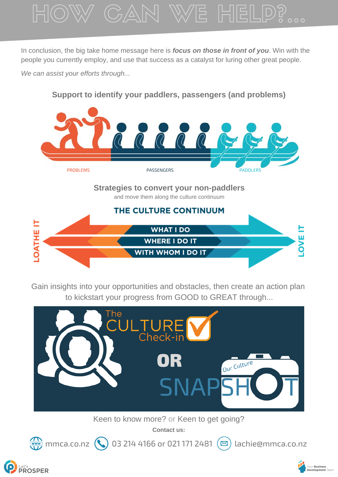

In conclusion, the big take home message here is *focus on those in front of you*. Win with the people you currently employ, and use that success as a catalyst for luring other great people.

*We can assist your efforts through...*

Let's<br>**PROSPER** 

### **Support to identify your paddlers, passengers (and problems)**



#### **Strategies to convert your non-paddlers** and move them along the culture continuum



Gain insights into your opportunities and obstacles, then create an action plan to kickstart your progress from GOOD to GREAT through...



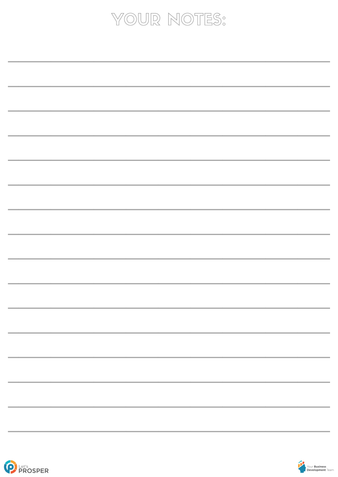## YOUR NOTES:

| <u> 1989 - Andrea San Andrea Andrea Andrea Andrea Andrea Andrea Andrea Andrea Andrea Andrea Andrea Andrea Andrea </u>                                           |
|-----------------------------------------------------------------------------------------------------------------------------------------------------------------|
|                                                                                                                                                                 |
|                                                                                                                                                                 |
|                                                                                                                                                                 |
|                                                                                                                                                                 |
|                                                                                                                                                                 |
|                                                                                                                                                                 |
|                                                                                                                                                                 |
|                                                                                                                                                                 |
| <b>一个人的人,我们也不会</b> 是一个人的人,我们也不会是一个人的人,我们也不会是一个人的人,我们也不会是一个人的人,我们也不会是一个人的人,我们也不会是一个人的人,我们                                                                        |
|                                                                                                                                                                 |
|                                                                                                                                                                 |
|                                                                                                                                                                 |
|                                                                                                                                                                 |
|                                                                                                                                                                 |
|                                                                                                                                                                 |
|                                                                                                                                                                 |
|                                                                                                                                                                 |
| ,我们也不能会在这里,我们也不能会在这里,我们也不能会在这里,我们也不能会在这里,我们也不能会在这里,我们也不能会在这里,我们也不能会在这里,我们也不能会在这里                                                                                |
|                                                                                                                                                                 |
|                                                                                                                                                                 |
|                                                                                                                                                                 |
|                                                                                                                                                                 |
|                                                                                                                                                                 |
|                                                                                                                                                                 |
|                                                                                                                                                                 |
|                                                                                                                                                                 |
| ,我们也不会有什么。""我们的人,我们也不会不会不会不会不会不会不会。""我们的人,我们也不会不会不会不会不会不会。""我们的人,我们也不会不会不会不会不会不会                                                                                |
|                                                                                                                                                                 |
|                                                                                                                                                                 |
|                                                                                                                                                                 |
|                                                                                                                                                                 |
|                                                                                                                                                                 |
|                                                                                                                                                                 |
|                                                                                                                                                                 |
| ,一个人的人都是一个人的人,我们也不会不会不会。""我们,我们也不会不会不会不会。""我们,我们也不会不会不会不会。""我们,我们也不会不会不会。""我们,我们                                                                                |
|                                                                                                                                                                 |
|                                                                                                                                                                 |
|                                                                                                                                                                 |
|                                                                                                                                                                 |
|                                                                                                                                                                 |
|                                                                                                                                                                 |
|                                                                                                                                                                 |
|                                                                                                                                                                 |
| ,我们也不能在这里的,我们也不能在这里的时候,我们也不能在这里的时候,我们也不能会不能会不能会不能会不能会不能会。""我们,我们也不能会不能会不能会不能会不能会                                                                                |
|                                                                                                                                                                 |
|                                                                                                                                                                 |
|                                                                                                                                                                 |
|                                                                                                                                                                 |
|                                                                                                                                                                 |
|                                                                                                                                                                 |
|                                                                                                                                                                 |
|                                                                                                                                                                 |
| <u> 1989 - Andrea San Andrea San Andrea San Andrea San Andrea San Andrea San Andrea San Andrea San Andrea San A</u>                                             |
|                                                                                                                                                                 |
|                                                                                                                                                                 |
|                                                                                                                                                                 |
|                                                                                                                                                                 |
|                                                                                                                                                                 |
|                                                                                                                                                                 |
|                                                                                                                                                                 |
| <u> 1989 - Andrea Andrew Maria (h. 1989).</u><br>Nationalista de la carte de la carte de la carte de la carte de la carte de la carte de la carte de la carte d |
|                                                                                                                                                                 |
|                                                                                                                                                                 |
|                                                                                                                                                                 |
|                                                                                                                                                                 |
|                                                                                                                                                                 |
|                                                                                                                                                                 |
|                                                                                                                                                                 |
|                                                                                                                                                                 |
|                                                                                                                                                                 |
|                                                                                                                                                                 |
|                                                                                                                                                                 |
|                                                                                                                                                                 |
|                                                                                                                                                                 |
|                                                                                                                                                                 |
|                                                                                                                                                                 |
|                                                                                                                                                                 |
|                                                                                                                                                                 |
|                                                                                                                                                                 |
|                                                                                                                                                                 |
|                                                                                                                                                                 |
|                                                                                                                                                                 |
|                                                                                                                                                                 |
|                                                                                                                                                                 |
|                                                                                                                                                                 |
| <u> 1989 - Andrea San Andrea Andrea Andrea Andrea Andrea Andrea Andrea Andrea Andrea Andrea Andrea Andrea Andrea </u>                                           |
|                                                                                                                                                                 |
|                                                                                                                                                                 |
|                                                                                                                                                                 |
|                                                                                                                                                                 |
|                                                                                                                                                                 |
|                                                                                                                                                                 |
|                                                                                                                                                                 |
|                                                                                                                                                                 |
|                                                                                                                                                                 |
|                                                                                                                                                                 |
|                                                                                                                                                                 |
|                                                                                                                                                                 |
|                                                                                                                                                                 |
|                                                                                                                                                                 |
|                                                                                                                                                                 |
|                                                                                                                                                                 |
|                                                                                                                                                                 |
|                                                                                                                                                                 |
|                                                                                                                                                                 |
|                                                                                                                                                                 |
|                                                                                                                                                                 |
|                                                                                                                                                                 |
|                                                                                                                                                                 |
|                                                                                                                                                                 |
|                                                                                                                                                                 |
|                                                                                                                                                                 |
|                                                                                                                                                                 |
|                                                                                                                                                                 |
|                                                                                                                                                                 |
|                                                                                                                                                                 |
|                                                                                                                                                                 |
|                                                                                                                                                                 |
|                                                                                                                                                                 |
|                                                                                                                                                                 |
|                                                                                                                                                                 |
|                                                                                                                                                                 |
|                                                                                                                                                                 |
|                                                                                                                                                                 |